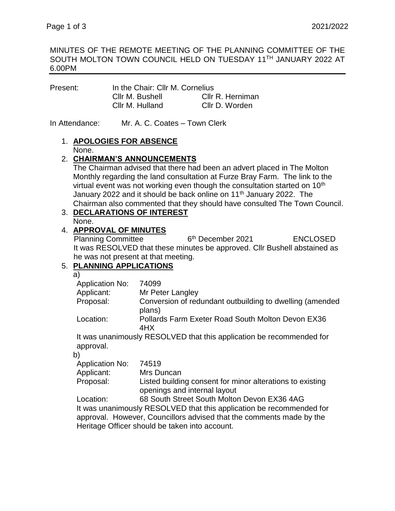### MINUTES OF THE REMOTE MEETING OF THE PLANNING COMMITTEE OF THE SOUTH MOLTON TOWN COUNCIL HELD ON TUESDAY 11TH JANUARY 2022 AT 6.00PM

| In the Chair: Cllr M. Cornelius |                  |
|---------------------------------|------------------|
| Cllr M. Bushell                 | Cllr R. Herniman |
| Cllr M. Hulland                 | Cllr D. Worden   |
|                                 |                  |

In Attendance: Mr. A. C. Coates – Town Clerk

#### 1. **APOLOGIES FOR ABSENCE** None.

### 2. **CHAIRMAN'S ANNOUNCEMENTS**

The Chairman advised that there had been an advert placed in The Molton Monthly regarding the land consultation at Furze Bray Farm. The link to the virtual event was not working even though the consultation started on 10<sup>th</sup> January 2022 and it should be back online on 11<sup>th</sup> January 2022. The Chairman also commented that they should have consulted The Town Council.

# 3. **DECLARATIONS OF INTEREST**

None.

# 4. **APPROVAL OF MINUTES**

Planning Committee 6<sup>th</sup> December 2021 ENCLOSED It was RESOLVED that these minutes be approved. Cllr Bushell abstained as he was not present at that meeting.

# 5. **PLANNING APPLICATIONS**

a)

| 74099                                                              |
|--------------------------------------------------------------------|
| Mr Peter Langley                                                   |
| Conversion of redundant outbuilding to dwelling (amended<br>plans) |
| Pollards Farm Exeter Road South Molton Devon EX36<br>4HX           |
|                                                                    |

It was unanimously RESOLVED that this application be recommended for approval.

b)

| Application No: | 74519                                                     |
|-----------------|-----------------------------------------------------------|
| Applicant:      | Mrs Duncan                                                |
| Proposal:       | Listed building consent for minor alterations to existing |
|                 | openings and internal layout                              |

Location: 68 South Street South Molton Devon EX36 4AG It was unanimously RESOLVED that this application be recommended for approval. However, Councillors advised that the comments made by the Heritage Officer should be taken into account.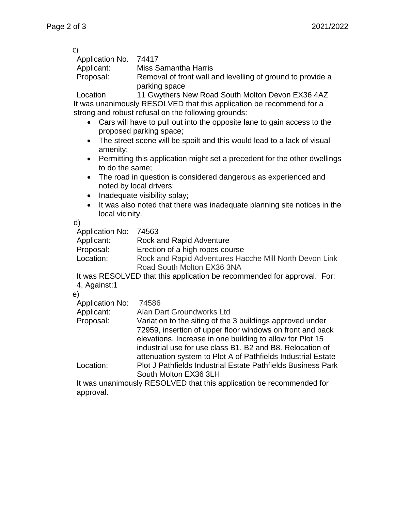| C)                    |                                                            |
|-----------------------|------------------------------------------------------------|
| Application No. 74417 |                                                            |
| Applicant:            | Miss Samantha Harris                                       |
| Proposal:             | Removal of front wall and levelling of ground to provide a |
|                       | parking space                                              |

Location 11 Gwythers New Road South Molton Devon EX36 4AZ It was unanimously RESOLVED that this application be recommend for a strong and robust refusal on the following grounds:

- Cars will have to pull out into the opposite lane to gain access to the proposed parking space;
- The street scene will be spoilt and this would lead to a lack of visual amenity;
- Permitting this application might set a precedent for the other dwellings to do the same;
- The road in question is considered dangerous as experienced and noted by local drivers;
- Inadequate visibility splay;
- It was also noted that there was inadequate planning site notices in the local vicinity.

d)

Application No: 74563

Applicant: Rock and Rapid Adventure

Proposal: Erection of a high ropes course

Location: Rock and Rapid Adventures Hacche Mill North Devon Link Road South Molton EX36 3NA

It was RESOLVED that this application be recommended for approval. For: 4, Against:1

e)

- Application No: 74586
- Applicant: Alan Dart Groundworks Ltd

Proposal: Variation to the siting of the 3 buildings approved under 72959, insertion of upper floor windows on front and back elevations. Increase in one building to allow for Plot 15 industrial use for use class B1, B2 and B8. Relocation of attenuation system to Plot A of Pathfields Industrial Estate Location: Plot J Pathfields Industrial Estate Pathfields Business Park

South Molton EX36 3LH

It was unanimously RESOLVED that this application be recommended for approval.